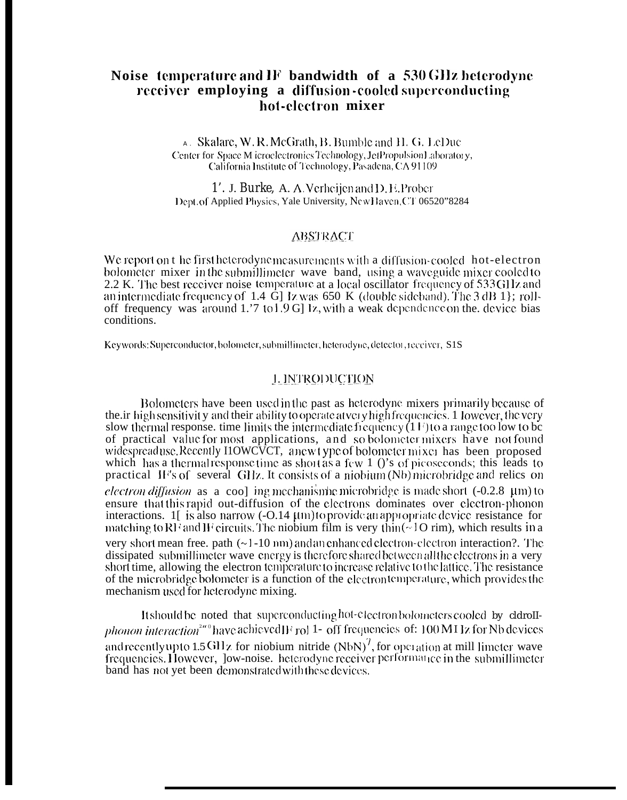# Noise temperature and IF bandwidth of a 530 GHz heterodyne receiver employing a diffusion-cooled superconducting hot-electron mixer

A. Skalare, W.R. McGrath, B. Bumble and H.G. LeDuc Center for Space M icroelectronics Technology, Jet Propulsion Laboratory, California Institute of Technology, Pasadena, CA 91109

1'. J. Burke. A. A. Verheijen and D. E. Prober Dept. of Applied Physics, Yale University, New Haven, CT 06520"8284

## **ABSTRACT**

We report on t he first heterodyne measurements with a diffusion-cooled hot-electron bolometer mixer in the submillimeter wave band, using a waveguide mixer cooled to 2.2 K. The best receiver noise temperature at a local oscillator frequency of 533 GHz and an intermediate frequency of  $1.4 \text{ G}$  lz was 650 K (double sideband). The 3 dB 1 \; rolloff frequency was around 1.'7 to 1.9 G] Iz, with a weak dependence on the device bias conditions.

Keywords: Superconductor, bolometer, submillimeter, heterodyne, detector, receiver, S1S

## **1. INTRODUCTION**

Bolometers have been used in the past as heterodyne mixers primarily because of the in high sensitivity and their ability to operate at yet y high frequencies. 1 lowever, the very slow thermal response, time limits the intermediate frequency  $(11)$  to a range too low to be of practical value for most applications, and so bolometer mixers have not found widespreaduse. Recently HOWCVCT, anewt ype of bolometer mixer has been proposed which has a thermal response time as short as a few  $1$  ()'s of picoseconds; this leads to practical IF's of several GHz. It consists of a niobium (Nb) microbridge and relics on electron diffusion as a coo] ing mechanism e microbridge is made short (-0.2.8 µm) to ensure that this rapid out-diffusion of the electrons dominates over electron-phonon interactions.  $1$ [ is also narrow  $(-0.14 \mu m)$ to provide an appropriate device resistance for matching to RF and IF circuits. The niobium film is very thin  $(\sim 10 \text{ rim})$ , which results in a very short mean free, path  $(\sim]$  -10 nm) and an enhanced electron-electron interaction?. The dissipated submillimeter wave energy is therefore shared between all the electrons in a very short time, allowing the electron temperature to increase relative to the lattice. The resistance of the microbridge bolometer is a function of the electron temperature, which provides the mechanism used for heterodyne mixing.

It should be noted that superconducting hot-electron bolometers cooled by cldroll*phonon interaction*<sup>240</sup> have achieved  $\Gamma$  rol 1- off frequencies of: 100 MI Iz for Nb devices and recently up to 1.5 GHz for niobium nitride  $(NbN)^7$ , for operation at mill limeter wave frequencies. However, Jow-noise, heterodyne receiver performance in the submillimeter band has not yet been demonstrated with these devices.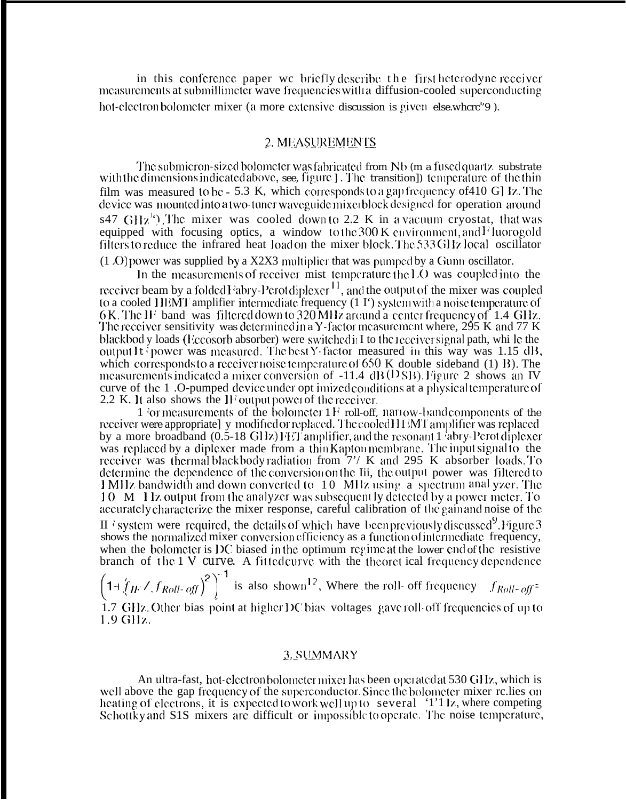in this conference paper we briefly describe the first heterodyne receiver measurements at submillimeter wave frequencies with a diffusion-cooled superconducting hot-electron bolometer mixer (a more extensive discussion is given else, where<sup>8</sup>9).

#### 2. MEASUREMENTS

The submicron-sized bolometer was fabricated from Nb (m a fused quartz substrate with the dimensions indicated above, see, figure ]. The transition]) temperature of the thin film was measured to bc - 5.3 K, which corresponds to a gap frequency of 410 G] Iz. The device was mounted into a two-tuner waveguide mixerblock designed for operation around s47  $GHz^{10}$ . The mixer was cooled down to 2.2 K in a vacuum cryostat, that was equipped with focusing optics, a window to the 300 K environment, and F luorogold filters to reduce the infrared heat load on the mixer block. The 533 GHz local oscillator

 $(1 \Omega)$  power was supplied by a X2X3 multiplier that was pumped by a Gunn oscillator.

In the measurements of receiver mist temperature the LO was coupled into the receiver beam by a folded Fabry-Perot diplexer<sup>11</sup>, and the output of the mixer was coupled<br>to a cooled HEMT amplifier intermediate frequency (1 I<sup>+</sup>) system with a noise temperature of 6K. The IF band was filtered down to 320 MHz around a center frequency of 1.4 GHz. The receiver sensitivity was determined in a Y-factor measurement where, 295 K and 77 K blackbod y loads (Eccosorb absorber) were switched in I to the receiver signal path, whi le the output It power was measured. The best Y factor measured in this way was 1.15 dB, which corresponds to a receiver noise temperature of  $650 \text{ K}$  double sideband (1) B). The measurements indicated a mixer conversion of  $-11.4$  dB( $\overline{OSB}$ ). Figure 2 shows an IV curve of the 1.0-pumped device under opt imized conditions at a physical temperature of 2.2 K. It also shows the IF output power of the receiver.

1 for measurements of the bolometer  $1 \text{F}$  roll-off, narrow-band components of the receiver were appropriate] y modified or replaced. The cooled HIMT amplifier was replaced by a more broadband (0.5-18 GHz) FET amplifier, and the resonant 1 abry-Perot diplexer was replaced by a diplexer made from a thin Kapton membrane. The input signal to the receiver was thermal blackbody radiation from 7'/ K and 295 K absorber loads. To determine the dependence of the conversion on the Iii, the output power was filtered to 1 MHz bandwidth and down converted to 10 MHz using a spectrum anal yzer. The 10 M 11z output from the analyzer was subsequently detected by a power meter. To accurately characterize the mixer response, careful calibration of the gain and noise of the

If is existem were required, the details of which have been previously discussed<sup>9</sup>. Figure 3 shows the normalized mixer conversion efficiency as a function of intermediate frequency, when the bolometer is DC biased in the optimum regime at the lower end of the resistive branch of the  $1 \vee$  curve. A fitted curve with the theoret ical frequency dependence

 $\left(1+\left(\frac{f}{fF}\right)^{2} \int_{0}^{2} \int_{0}^{2} \int_{0}^{2} \int_{0}^{2} \int_{0}^{2} \int_{0}^{2} \int_{0}^{2} \int_{0}^{2} \int_{0}^{2} \int_{0}^{2} \int_{0}^{2} \int_{0}^{2} \int_{0}^{2} \int_{0}^{2} \int_{0}^{2} \int_{0}^{2} \int_{0}^{2} \int_{0}^{2} \int_{0}^{2} \int_{0}^{2} \int_{0}^{2} \int_{0}^{2} \int_{0}^{2} \int_{0}^{2} \int_{0}^{2} \$ 1.7 GHz. Other bias point at higher DC bias voltages gave roll-off frequencies of up to 1.9 GHz.

#### 3. SUMMARY

An ultra-fast, hot-electron bolometer mixer has been operated at 530 GHz, which is well above the gap frequency of the superconductor. Since the bolometer mixer relies on heating of electrons, it is expected to work well up to several '1'1 lz, where competing<br>Schottky and S1S mixers are difficult or impossible to operate. The noise temperature,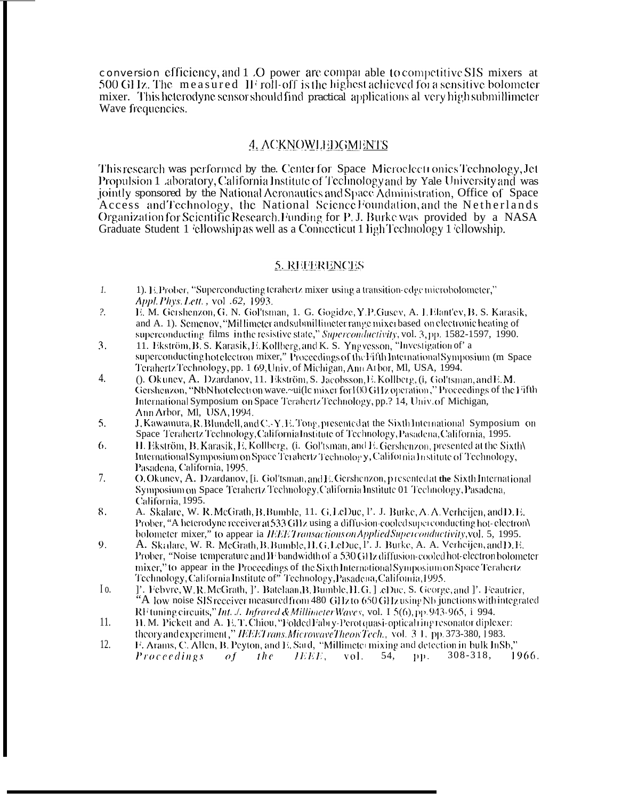conversion efficiency, and 1.0 power are comparable to competitive SIS mixers at 500 GHz. The measured IF roll-off is the highest achieved for a sensitive bolometer mixer. This heterodyne sensor should find practical applications all very high submillimeter Wave frequencies.

## **4. ACKNOWLEDGMENTS**

This research was performed by the. Center for Space Microelect ronics Technology, Jet Propulsion 1 aboratory, California Institute of Technology and by Yale University and was jointly sponsored by the National Acronautics and Space Administration, Office of Space Access and Technology, the National Science Foundation, and the Netherlands Organization for Scientific Research. Funding for P. J. Burke was provided by a NASA Graduate Student 1 'ellowship as well as a Connecticut 1 ligh Technology 1 'ellowship.

# **5. REFERENCES**

- $1.$ 1). E. Prober, "Superconducting terahertz mixer-using a transition-edge microbolometer," Appl. Phys. Lett., vol. 62, 1993.
- $\overline{?}$ . E. M. Gershenzon, G. N. Gol'tsman, 1. G. Gogidze, Y.P.Gusev, A. I.Elant'ev, B. S. Karasik, and A. 1). Semenov, "Millimeter and submillimeter range mixer based on electronic heating of superconducting films in the resistive state," Superconductivity, vol. 3, pp. 1582-1597, 1990.
- 3. 11. Ekström, B. S. Karasik, E. Kollberg, and K. S. Yngvesson, "Investigation of' a superconducting hot electron mixer," Proceedings of the Fifth International Symposium (m Space Terahertz Technology, pp. 1 69, Univ. of Michigan, Ann Arbor, Ml, USA, 1994.
- $4.$ (). Okunev, A. Dzardanov, 11. Ekström, S. Jacobsson, E. Kollberg, (i, Gol'tsman, and E.M. Gershenzon, "NbNhot electron wave.~ui(lc mixer for 100 GHz operation," Proceedings of the Fifth International Symposium on Space Terahertz Technology, pp.? 14, Univ. of Michigan, Ann Arbor, Ml. USA, 1994.
- 5. J. Kawamura, R. Blundell, and C.-Y. E. Tong, presented at the Sixth International Symposium on Space Terahertz Technology, California Institute of Technology, Pasadena, California, 1995.
- $\mathfrak{b}$ . H. Ekström, B. Karasik, E. Kollberg, (i. Gol'tsman, and E. Gershenzon, presented at the Sixth\ International Symposium on Space Terahertz Technology, California Institute of Technology, Pasadena, California, 1995.
- 7. O. Okunev, A. Dzardanov, [i. Gol'tsman, and E. Gershenzon, presented at the Sixth International Symposium on Space Terahertz Technology, California Institute 01 Technology, Pasadena, California, 1995.
- 8. A. Skalare, W. R. McGrath, B. Bumble, 11. G. LeDuc, P. J. Burke, A. A. Verheijen, and D. E. Prober, "A heterodyne receiver at 533 GHz using a diffusion-cooled superconducting hot-electron\ bolometer mixer," to appear ia IEEE Transactions on Applied Superconductivity, vol. 5, 1995.
- A. Skalare, W. R. McGrath, B. Bumble, H. G. LeDuc, P. J. Burke, A. A. Verheijen, and D. E. 9. Prober, "Noise-temperature and II<sup>+</sup> bandwidth of a 530 GHz diffusion-cooled hot-electron bolometer mixer," to appear in the Proceedings of the Sixth International Symposium on Space Terahertz Technology, California Institute of" Technology, Pasadena, California, 1995.
- $I_0$ . ]'. Febvre, W.R.McGrath, J'. Batclaan, B. Bumble, H.G. J .cDuc, S. George, and J'. Feautrier, "A low noise SIS receiver measured from 480 GHz to 650 GHz using Nb junctions with integrated RF tuning circuits," Int. ./. Infrared & Millimeter Waves, vol. 1 5(6), pp. 943-965, i 994.
- $11.$ H. M. Pickett and A. E.T. Chiou, "Folded Fabry-Perot quasi-optical ring resonator diplexer: theory and experiment," IEEET rans. MicrowaveTheor Tech., vol. 3 1, pp. 373-380, 1983.
- $12.$ F. Arams, C. Allen, B. Peyton, and E. Sard, "Millimeter mixing and detection in bulk InSb," IEEE. *Proceedings*  $of$  $the$  $vol.$ 54,  $DD<sub>z</sub>$  $308 - 318,$ 1966.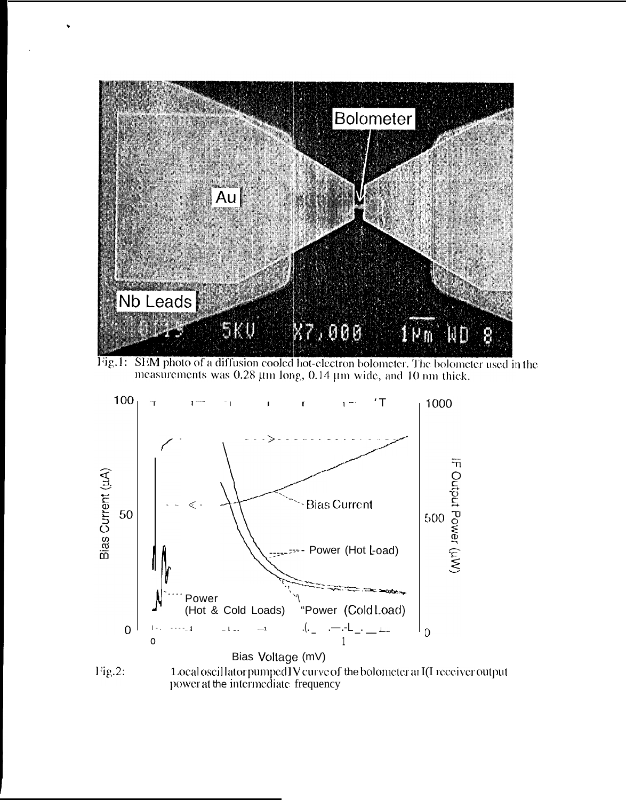

Fig.1: SEM photo of a diffusion cooled hot-electron bolometer. The bolometer used in the measurements was  $0.28 \mu m$  long,  $0.14 \mu m$  wide, and 10 nm thick.



Fig.2: 1.ocaloscillator pumped IV curve of the bolometer at I(I receiver output<br>power at the intermediate frequency